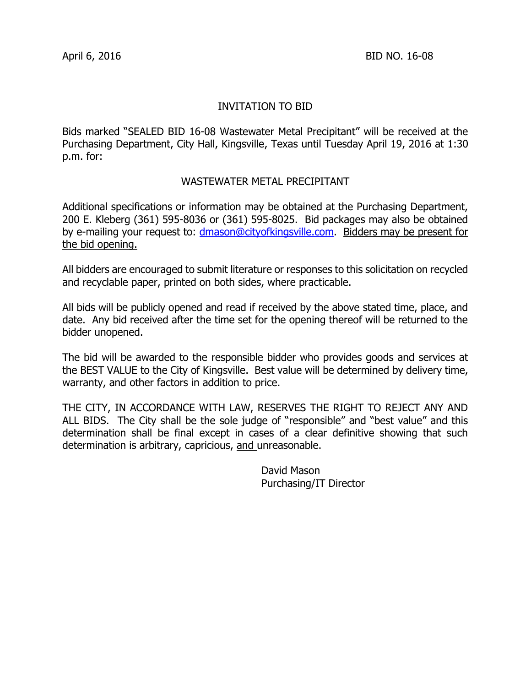# INVITATION TO BID

Bids marked "SEALED BID 16-08 Wastewater Metal Precipitant" will be received at the Purchasing Department, City Hall, Kingsville, Texas until Tuesday April 19, 2016 at 1:30 p.m. for:

### WASTEWATER METAL PRECIPITANT

Additional specifications or information may be obtained at the Purchasing Department, 200 E. Kleberg (361) 595-8036 or (361) 595-8025. Bid packages may also be obtained by e-mailing your request to: [dmason@cityofkingsville.com.](mailto:dmason@cityofkingsville.com) Bidders may be present for the bid opening.

All bidders are encouraged to submit literature or responses to this solicitation on recycled and recyclable paper, printed on both sides, where practicable.

All bids will be publicly opened and read if received by the above stated time, place, and date. Any bid received after the time set for the opening thereof will be returned to the bidder unopened.

The bid will be awarded to the responsible bidder who provides goods and services at the BEST VALUE to the City of Kingsville. Best value will be determined by delivery time, warranty, and other factors in addition to price.

THE CITY, IN ACCORDANCE WITH LAW, RESERVES THE RIGHT TO REJECT ANY AND ALL BIDS. The City shall be the sole judge of "responsible" and "best value" and this determination shall be final except in cases of a clear definitive showing that such determination is arbitrary, capricious, and unreasonable.

> David Mason Purchasing/IT Director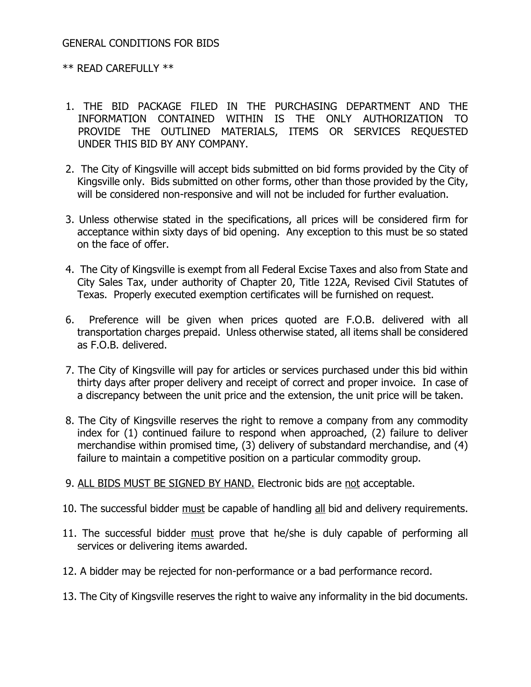# GENERAL CONDITIONS FOR BIDS

### \*\* READ CAREFULLY \*\*

- 1. THE BID PACKAGE FILED IN THE PURCHASING DEPARTMENT AND THE INFORMATION CONTAINED WITHIN IS THE ONLY AUTHORIZATION TO PROVIDE THE OUTLINED MATERIALS, ITEMS OR SERVICES REQUESTED UNDER THIS BID BY ANY COMPANY.
- 2. The City of Kingsville will accept bids submitted on bid forms provided by the City of Kingsville only. Bids submitted on other forms, other than those provided by the City, will be considered non-responsive and will not be included for further evaluation.
- 3. Unless otherwise stated in the specifications, all prices will be considered firm for acceptance within sixty days of bid opening. Any exception to this must be so stated on the face of offer.
- 4. The City of Kingsville is exempt from all Federal Excise Taxes and also from State and City Sales Tax, under authority of Chapter 20, Title 122A, Revised Civil Statutes of Texas. Properly executed exemption certificates will be furnished on request.
- 6. Preference will be given when prices quoted are F.O.B. delivered with all transportation charges prepaid. Unless otherwise stated, all items shall be considered as F.O.B. delivered.
- 7. The City of Kingsville will pay for articles or services purchased under this bid within thirty days after proper delivery and receipt of correct and proper invoice. In case of a discrepancy between the unit price and the extension, the unit price will be taken.
- 8. The City of Kingsville reserves the right to remove a company from any commodity index for (1) continued failure to respond when approached, (2) failure to deliver merchandise within promised time, (3) delivery of substandard merchandise, and (4) failure to maintain a competitive position on a particular commodity group.
- 9. ALL BIDS MUST BE SIGNED BY HAND. Electronic bids are not acceptable.
- 10. The successful bidder must be capable of handling all bid and delivery requirements.
- 11. The successful bidder must prove that he/she is duly capable of performing all services or delivering items awarded.
- 12. A bidder may be rejected for non-performance or a bad performance record.
- 13. The City of Kingsville reserves the right to waive any informality in the bid documents.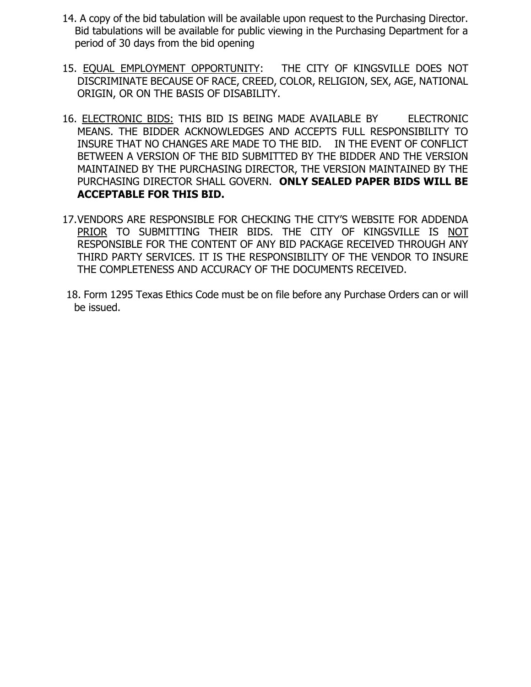- 14. A copy of the bid tabulation will be available upon request to the Purchasing Director. Bid tabulations will be available for public viewing in the Purchasing Department for a period of 30 days from the bid opening
- 15. EQUAL EMPLOYMENT OPPORTUNITY: THE CITY OF KINGSVILLE DOES NOT DISCRIMINATE BECAUSE OF RACE, CREED, COLOR, RELIGION, SEX, AGE, NATIONAL ORIGIN, OR ON THE BASIS OF DISABILITY.
- 16. ELECTRONIC BIDS: THIS BID IS BEING MADE AVAILABLE BY ELECTRONIC MEANS. THE BIDDER ACKNOWLEDGES AND ACCEPTS FULL RESPONSIBILITY TO INSURE THAT NO CHANGES ARE MADE TO THE BID. IN THE EVENT OF CONFLICT BETWEEN A VERSION OF THE BID SUBMITTED BY THE BIDDER AND THE VERSION MAINTAINED BY THE PURCHASING DIRECTOR, THE VERSION MAINTAINED BY THE PURCHASING DIRECTOR SHALL GOVERN. **ONLY SEALED PAPER BIDS WILL BE ACCEPTABLE FOR THIS BID.**
- 17.VENDORS ARE RESPONSIBLE FOR CHECKING THE CITY'S WEBSITE FOR ADDENDA PRIOR TO SUBMITTING THEIR BIDS. THE CITY OF KINGSVILLE IS NOT RESPONSIBLE FOR THE CONTENT OF ANY BID PACKAGE RECEIVED THROUGH ANY THIRD PARTY SERVICES. IT IS THE RESPONSIBILITY OF THE VENDOR TO INSURE THE COMPLETENESS AND ACCURACY OF THE DOCUMENTS RECEIVED.
- 18. Form 1295 Texas Ethics Code must be on file before any Purchase Orders can or will be issued.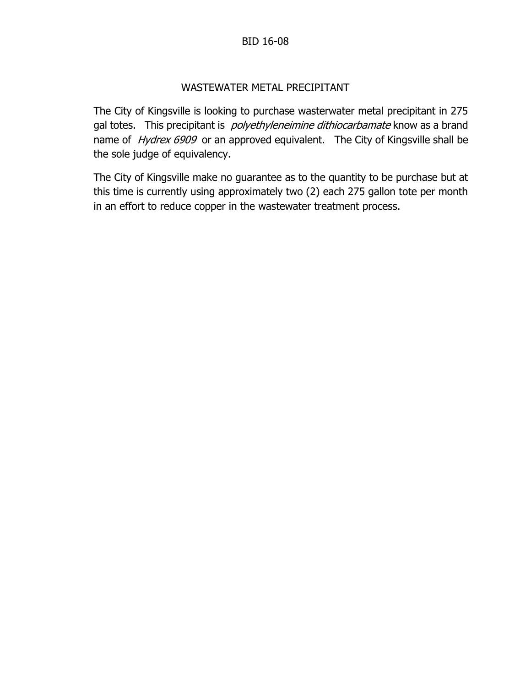# BID 16-08

# WASTEWATER METAL PRECIPITANT

The City of Kingsville is looking to purchase wasterwater metal precipitant in 275 gal totes. This precipitant is *polyethyleneimine dithiocarbamate* know as a brand name of Hydrex 6909 or an approved equivalent. The City of Kingsville shall be the sole judge of equivalency.

The City of Kingsville make no guarantee as to the quantity to be purchase but at this time is currently using approximately two (2) each 275 gallon tote per month in an effort to reduce copper in the wastewater treatment process.